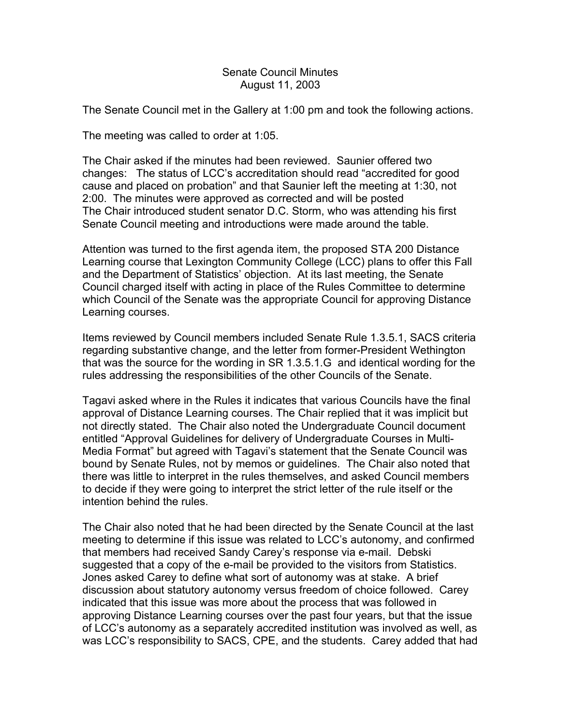## Senate Council Minutes August 11, 2003

The Senate Council met in the Gallery at 1:00 pm and took the following actions.

The meeting was called to order at 1:05.

The Chair asked if the minutes had been reviewed. Saunier offered two changes: The status of LCC's accreditation should read "accredited for good cause and placed on probation" and that Saunier left the meeting at 1:30, not 2:00. The minutes were approved as corrected and will be posted The Chair introduced student senator D.C. Storm, who was attending his first Senate Council meeting and introductions were made around the table.

Attention was turned to the first agenda item, the proposed STA 200 Distance Learning course that Lexington Community College (LCC) plans to offer this Fall and the Department of Statistics' objection. At its last meeting, the Senate Council charged itself with acting in place of the Rules Committee to determine which Council of the Senate was the appropriate Council for approving Distance Learning courses.

Items reviewed by Council members included Senate Rule 1.3.5.1, SACS criteria regarding substantive change, and the letter from former-President Wethington that was the source for the wording in SR 1.3.5.1.G and identical wording for the rules addressing the responsibilities of the other Councils of the Senate.

Tagavi asked where in the Rules it indicates that various Councils have the final approval of Distance Learning courses. The Chair replied that it was implicit but not directly stated. The Chair also noted the Undergraduate Council document entitled "Approval Guidelines for delivery of Undergraduate Courses in Multi-Media Format" but agreed with Tagavi's statement that the Senate Council was bound by Senate Rules, not by memos or guidelines. The Chair also noted that there was little to interpret in the rules themselves, and asked Council members to decide if they were going to interpret the strict letter of the rule itself or the intention behind the rules.

The Chair also noted that he had been directed by the Senate Council at the last meeting to determine if this issue was related to LCC's autonomy, and confirmed that members had received Sandy Carey's response via e-mail. Debski suggested that a copy of the e-mail be provided to the visitors from Statistics. Jones asked Carey to define what sort of autonomy was at stake. A brief discussion about statutory autonomy versus freedom of choice followed. Carey indicated that this issue was more about the process that was followed in approving Distance Learning courses over the past four years, but that the issue of LCC's autonomy as a separately accredited institution was involved as well, as was LCC's responsibility to SACS, CPE, and the students. Carey added that had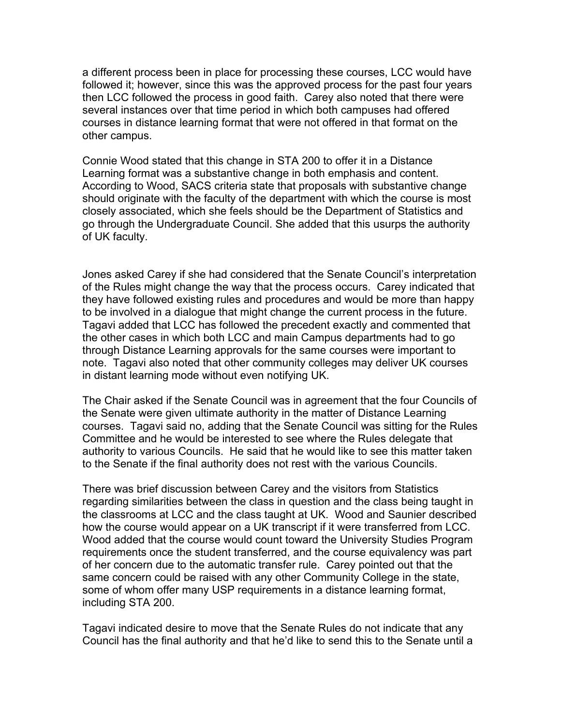a different process been in place for processing these courses, LCC would have followed it; however, since this was the approved process for the past four years then LCC followed the process in good faith. Carey also noted that there were several instances over that time period in which both campuses had offered courses in distance learning format that were not offered in that format on the other campus.

Connie Wood stated that this change in STA 200 to offer it in a Distance Learning format was a substantive change in both emphasis and content. According to Wood, SACS criteria state that proposals with substantive change should originate with the faculty of the department with which the course is most closely associated, which she feels should be the Department of Statistics and go through the Undergraduate Council. She added that this usurps the authority of UK faculty.

Jones asked Carey if she had considered that the Senate Council's interpretation of the Rules might change the way that the process occurs. Carey indicated that they have followed existing rules and procedures and would be more than happy to be involved in a dialogue that might change the current process in the future. Tagavi added that LCC has followed the precedent exactly and commented that the other cases in which both LCC and main Campus departments had to go through Distance Learning approvals for the same courses were important to note. Tagavi also noted that other community colleges may deliver UK courses in distant learning mode without even notifying UK.

The Chair asked if the Senate Council was in agreement that the four Councils of the Senate were given ultimate authority in the matter of Distance Learning courses. Tagavi said no, adding that the Senate Council was sitting for the Rules Committee and he would be interested to see where the Rules delegate that authority to various Councils. He said that he would like to see this matter taken to the Senate if the final authority does not rest with the various Councils.

There was brief discussion between Carey and the visitors from Statistics regarding similarities between the class in question and the class being taught in the classrooms at LCC and the class taught at UK. Wood and Saunier described how the course would appear on a UK transcript if it were transferred from LCC. Wood added that the course would count toward the University Studies Program requirements once the student transferred, and the course equivalency was part of her concern due to the automatic transfer rule. Carey pointed out that the same concern could be raised with any other Community College in the state, some of whom offer many USP requirements in a distance learning format, including STA 200.

Tagavi indicated desire to move that the Senate Rules do not indicate that any Council has the final authority and that he'd like to send this to the Senate until a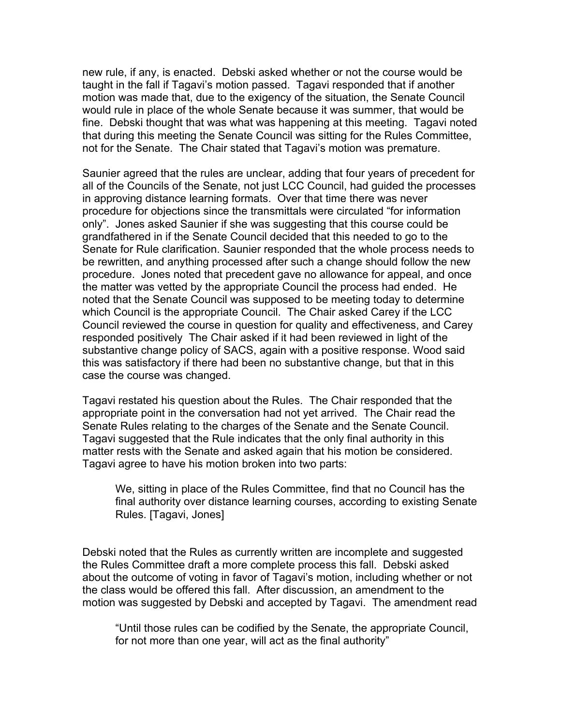new rule, if any, is enacted. Debski asked whether or not the course would be taught in the fall if Tagavi's motion passed. Tagavi responded that if another motion was made that, due to the exigency of the situation, the Senate Council would rule in place of the whole Senate because it was summer, that would be fine. Debski thought that was what was happening at this meeting. Tagavi noted that during this meeting the Senate Council was sitting for the Rules Committee, not for the Senate. The Chair stated that Tagavi's motion was premature.

Saunier agreed that the rules are unclear, adding that four years of precedent for all of the Councils of the Senate, not just LCC Council, had guided the processes in approving distance learning formats. Over that time there was never procedure for objections since the transmittals were circulated "for information only". Jones asked Saunier if she was suggesting that this course could be grandfathered in if the Senate Council decided that this needed to go to the Senate for Rule clarification. Saunier responded that the whole process needs to be rewritten, and anything processed after such a change should follow the new procedure. Jones noted that precedent gave no allowance for appeal, and once the matter was vetted by the appropriate Council the process had ended. He noted that the Senate Council was supposed to be meeting today to determine which Council is the appropriate Council. The Chair asked Carey if the LCC Council reviewed the course in question for quality and effectiveness, and Carey responded positively The Chair asked if it had been reviewed in light of the substantive change policy of SACS, again with a positive response. Wood said this was satisfactory if there had been no substantive change, but that in this case the course was changed.

Tagavi restated his question about the Rules. The Chair responded that the appropriate point in the conversation had not yet arrived. The Chair read the Senate Rules relating to the charges of the Senate and the Senate Council. Tagavi suggested that the Rule indicates that the only final authority in this matter rests with the Senate and asked again that his motion be considered. Tagavi agree to have his motion broken into two parts:

We, sitting in place of the Rules Committee, find that no Council has the final authority over distance learning courses, according to existing Senate Rules. [Tagavi, Jones]

Debski noted that the Rules as currently written are incomplete and suggested the Rules Committee draft a more complete process this fall. Debski asked about the outcome of voting in favor of Tagavi's motion, including whether or not the class would be offered this fall. After discussion, an amendment to the motion was suggested by Debski and accepted by Tagavi. The amendment read

"Until those rules can be codified by the Senate, the appropriate Council, for not more than one year, will act as the final authority"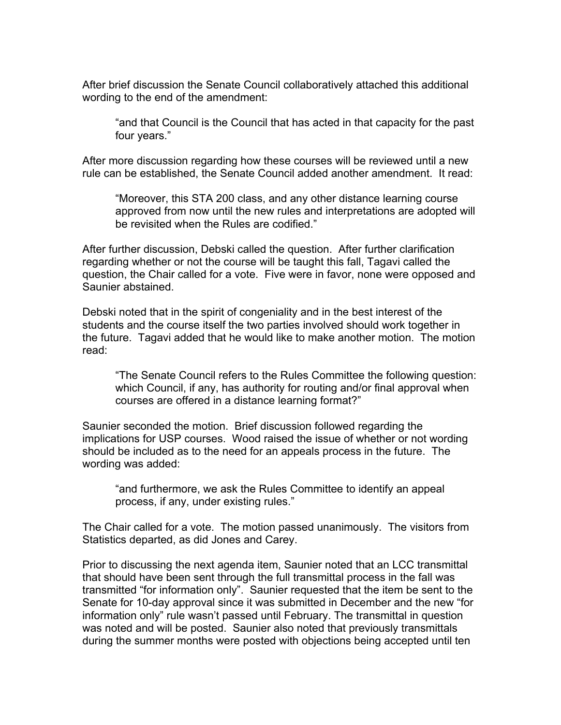After brief discussion the Senate Council collaboratively attached this additional wording to the end of the amendment:

"and that Council is the Council that has acted in that capacity for the past four years."

After more discussion regarding how these courses will be reviewed until a new rule can be established, the Senate Council added another amendment. It read:

"Moreover, this STA 200 class, and any other distance learning course approved from now until the new rules and interpretations are adopted will be revisited when the Rules are codified."

After further discussion, Debski called the question. After further clarification regarding whether or not the course will be taught this fall, Tagavi called the question, the Chair called for a vote. Five were in favor, none were opposed and Saunier abstained.

Debski noted that in the spirit of congeniality and in the best interest of the students and the course itself the two parties involved should work together in the future. Tagavi added that he would like to make another motion. The motion read:

"The Senate Council refers to the Rules Committee the following question: which Council, if any, has authority for routing and/or final approval when courses are offered in a distance learning format?"

Saunier seconded the motion. Brief discussion followed regarding the implications for USP courses. Wood raised the issue of whether or not wording should be included as to the need for an appeals process in the future. The wording was added:

"and furthermore, we ask the Rules Committee to identify an appeal process, if any, under existing rules."

The Chair called for a vote. The motion passed unanimously. The visitors from Statistics departed, as did Jones and Carey.

Prior to discussing the next agenda item, Saunier noted that an LCC transmittal that should have been sent through the full transmittal process in the fall was transmitted "for information only". Saunier requested that the item be sent to the Senate for 10-day approval since it was submitted in December and the new "for information only" rule wasn't passed until February. The transmittal in question was noted and will be posted. Saunier also noted that previously transmittals during the summer months were posted with objections being accepted until ten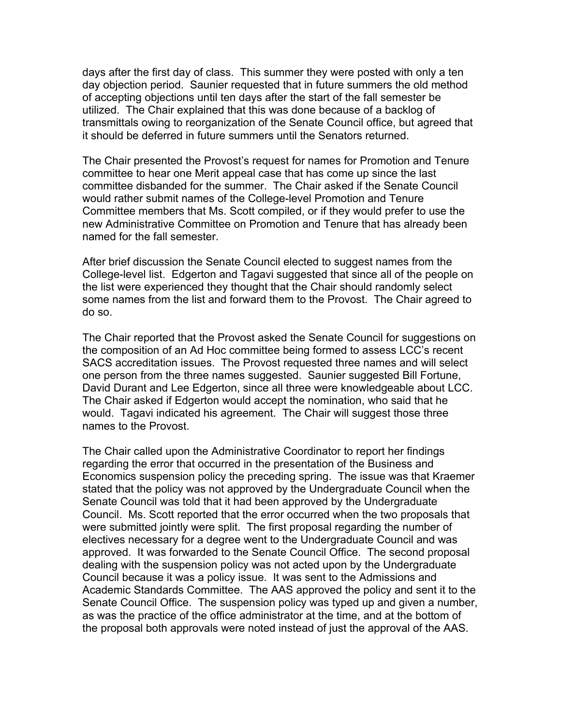days after the first day of class. This summer they were posted with only a ten day objection period. Saunier requested that in future summers the old method of accepting objections until ten days after the start of the fall semester be utilized. The Chair explained that this was done because of a backlog of transmittals owing to reorganization of the Senate Council office, but agreed that it should be deferred in future summers until the Senators returned.

The Chair presented the Provost's request for names for Promotion and Tenure committee to hear one Merit appeal case that has come up since the last committee disbanded for the summer. The Chair asked if the Senate Council would rather submit names of the College-level Promotion and Tenure Committee members that Ms. Scott compiled, or if they would prefer to use the new Administrative Committee on Promotion and Tenure that has already been named for the fall semester.

After brief discussion the Senate Council elected to suggest names from the College-level list. Edgerton and Tagavi suggested that since all of the people on the list were experienced they thought that the Chair should randomly select some names from the list and forward them to the Provost. The Chair agreed to do so.

The Chair reported that the Provost asked the Senate Council for suggestions on the composition of an Ad Hoc committee being formed to assess LCC's recent SACS accreditation issues. The Provost requested three names and will select one person from the three names suggested. Saunier suggested Bill Fortune, David Durant and Lee Edgerton, since all three were knowledgeable about LCC. The Chair asked if Edgerton would accept the nomination, who said that he would. Tagavi indicated his agreement. The Chair will suggest those three names to the Provost.

The Chair called upon the Administrative Coordinator to report her findings regarding the error that occurred in the presentation of the Business and Economics suspension policy the preceding spring. The issue was that Kraemer stated that the policy was not approved by the Undergraduate Council when the Senate Council was told that it had been approved by the Undergraduate Council. Ms. Scott reported that the error occurred when the two proposals that were submitted jointly were split. The first proposal regarding the number of electives necessary for a degree went to the Undergraduate Council and was approved. It was forwarded to the Senate Council Office. The second proposal dealing with the suspension policy was not acted upon by the Undergraduate Council because it was a policy issue. It was sent to the Admissions and Academic Standards Committee. The AAS approved the policy and sent it to the Senate Council Office. The suspension policy was typed up and given a number, as was the practice of the office administrator at the time, and at the bottom of the proposal both approvals were noted instead of just the approval of the AAS.